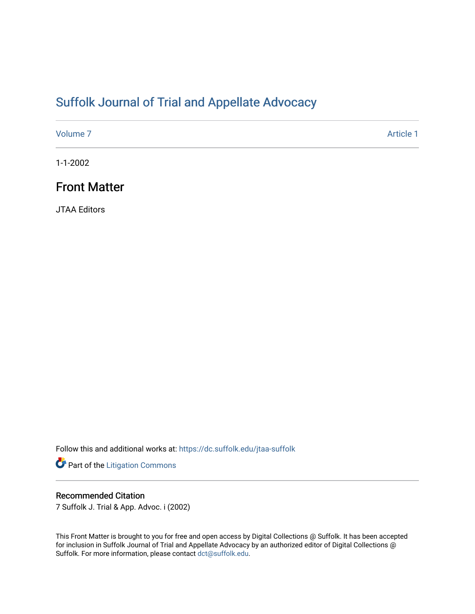# [Suffolk Journal of Trial and Appellate Advocacy](https://dc.suffolk.edu/jtaa-suffolk)

[Volume 7](https://dc.suffolk.edu/jtaa-suffolk/vol7) Article 1

1-1-2002

## Front Matter

JTAA Editors

Follow this and additional works at: [https://dc.suffolk.edu/jtaa-suffolk](https://dc.suffolk.edu/jtaa-suffolk?utm_source=dc.suffolk.edu%2Fjtaa-suffolk%2Fvol7%2Fiss1%2F1&utm_medium=PDF&utm_campaign=PDFCoverPages) 

Part of the [Litigation Commons](http://network.bepress.com/hgg/discipline/910?utm_source=dc.suffolk.edu%2Fjtaa-suffolk%2Fvol7%2Fiss1%2F1&utm_medium=PDF&utm_campaign=PDFCoverPages)

### Recommended Citation

7 Suffolk J. Trial & App. Advoc. i (2002)

This Front Matter is brought to you for free and open access by Digital Collections @ Suffolk. It has been accepted for inclusion in Suffolk Journal of Trial and Appellate Advocacy by an authorized editor of Digital Collections @ Suffolk. For more information, please contact [dct@suffolk.edu.](mailto:dct@suffolk.edu)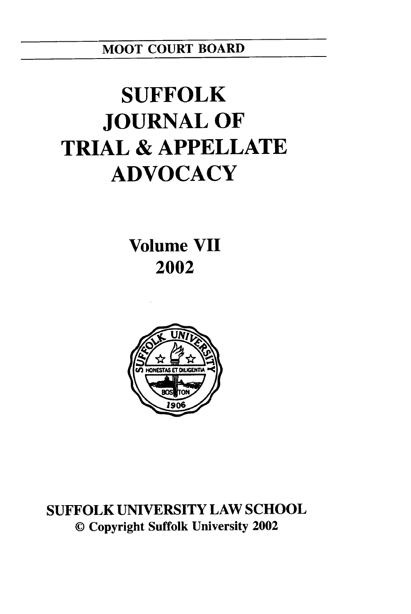MOOT **COURT** BOARD

# **SUFFOLK JOURNAL OF TRIAL & APPELLATE ADVOCACY**

**Volume VII 2002**



**SUFFOLK UNIVERSITY** LAW **SCHOOL ©** Copyright Suffolk University 2002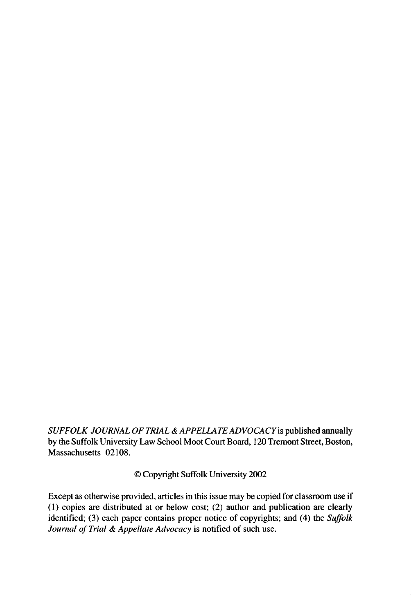*SUFFOLK JOURNAL OF TRIAL & APPELLATEADVOCACYis* published annually by the Suffolk University Law School Moot Court Board, 120 Tremont Street, Boston, Massachusetts 02108.

© Copyright Suffolk University 2002

Except as otherwise provided, articles in this issue may be copied for classroom use if (1) copies are distributed at or below cost; (2) author and publication are clearly identified; (3) each paper contains proper notice of copyrights; and (4) the *Suffolk Journal of Trial & Appellate Advocacy* is notified of such use.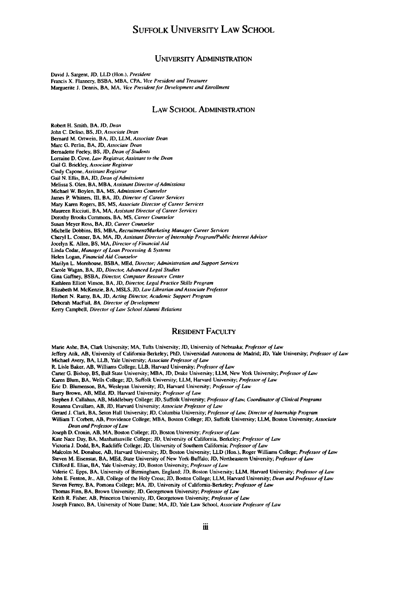### **SUFFOLK UNIVERSITY** LAW **SCHOOL**

#### UNIVERSITY ADMINISTRATION

David **J.** Sargent, **JD,** LLD (Hon.). President Francis X. Flannery. BSBA, MBA, CPA, Vice President and Treasurer Marguerite **J.** Dennis, BA, MA, Vice President for Development and Enrollment

#### LAW **SCHOOL ADMINISTRATION**

Robert H. Smith, BA. **JD,** Dean John **C.** Deliso. BS, **JD,** Associate Dean Bernard M. Ortwein. BA, **JD,** LLM, Associate Dean Marc G. Perlin, BA. **JD,** Associate Dean Bernadette Feeley, BS, **JD,** Dean of Students Lorraine D. Cove, Law Registrar, Assistant to the Dean Gail **G.** Brickley, Associate Registrar Cindy Capone, Assistant Registrar Gail N. Ellis, BA, **JD,** Dean of Admissions Melissa S. Olen, BA, MBA. Assistant Director of Admissions Michael W. Boylen, BA, **MS,** Admissions Counselor James P. Whitters, **III.** BA, **JD,** Director **of** Career Services Mary Karen Rogers, BS, **MS,** Associate Director of Career Services Maureen Ricciuti, BA, MA, Assistant Director of Career Services Dorothy Brooks Commons, BA, **MS,** Career Counselor Susan Meyer Ross, BA, **JD,** Career Counselor Michelle Dobbins, BS, MBA, Recruitment/Marketing Manager Career Services Cheryl L. Conner, BA, MA, JD, Assistant Director of Internship Program/Public Interest Advisor Jocelyn K. Allen, BS, MA, Director *of* Financial Aid Linda Cedar, Manager of Loan Processing & Systems Helen Logan. Financial Aid Counselor Marilyn L. Morehouse, BSBA, **MEd.** Director; Administration and Support Services Carole Wagan, BA, **JD,** Director, Advanced Legal Studies Gina Gaffney, BSBA, Director, Computer Resource Center Kathleen Elliott Vinson. BA, **JD,** Director, Legal Practice Skills Program Elizabeth M. McKenzie, **BA, MSLS, JD, Law** Librarian andAssociate Professor Herbert N. Ramy, BA, JD, Acting Director, Academic Support Program Deborah MacFail, BA, Director of Development Kerry Campbell, Director of Law School **Alumni** Relations

#### RESIDENT FACULTY

Marie Ashe, BA, Clark University; MA, Tufts University; **JD,** University of Nebraska; Professor **of** Law Jeffery Atik, **AB,** University of California-Berkeley; PhD, Universidad Autonoma **de** Madrid; **JD,** Yale University; Professor of *Law* Michael Avery, BA, LLB, Yale University; Associate Professor of **Law** R. Lisle Baker, **AB.** Williams College; LLB, Harvard University; Professor of Law Carter **G.** Bishop, **BS,** Ball State University; MBA, **JD,** Drake University; LLM, New York University; Professor of **Law** Karen Blum. BA, Wells College; **JD,** Suffolk University; LLM, Harvard University; Professor of Law Eric **D.** Blumenson, BA. Wesleyan University; **JD,** Harvard University; Professor *of* Law Barry Brown, AB, **MEd,** *JD.* Harvard University; Professor of Law Stephen **J.** Callahan, AB, Middlehury College; **JD.** Suffolk University; Professor of Law, Coordinator of Clinical Programs Rosanna Cavallaro, AB, **JD,** Harvard University; Associate Professor of Law Gerard **J.** Clark, BA, Seton Hall University; **JD,** Columbia University; Professor of Law. Director of Internship Program William T. Corbett, AB, Providence College; MBA. Boston College; **JD,** Suffolk University; LLM. Boston University; Associate Dean and Professor of Law Joseph **D.** Cronin, **AB,** MA. Boston College; **JD,** Boston University; Professor of Law Kate Nace Day, BA, Manhattanville College; **JD,** University of California, Berkeley; Professor of Law Victoria **J.** Dodd, BA, Radcliffe College; **JD,** University of Southern California; Professor of Law Malcolm M. Donahue, AB, Harvard University; **JD.** Boston University; LLD (Hon.), Roger Williams College; Professor of Law Steven M. Eisenstat, **BA, MEd,** State University of New York-Buffalo; **JD,** Northeastern University; Professor of Law Clifford **E.** Elias, BA, Yale University; **JD,** Boston University; Professor of Law Valerie C. Epps, BA. University of Birmingham, England; **JD.** Boston University; LLM, Harvard University; Professor of Law John E. Fenton. Jr., AB. College of the Holy Cross; **JD.** Boston College; LLM, Harvard University; Dean and Professor of Law Steven Ferrey, BA. Pomona College; MA, **JD,** University of California-Berkeley; Professor of Law Thomas Finn, BA, Brown University; **JD,** Georgetown University; Professor of Law

Keith R. Fisher, AB, Princeton University, **JD,** Georgetown University; Professor **of** Law

Joseph Franco, BA, University of Notre Dame; MA, **JD,** Yale Law School, Associate Professor of Law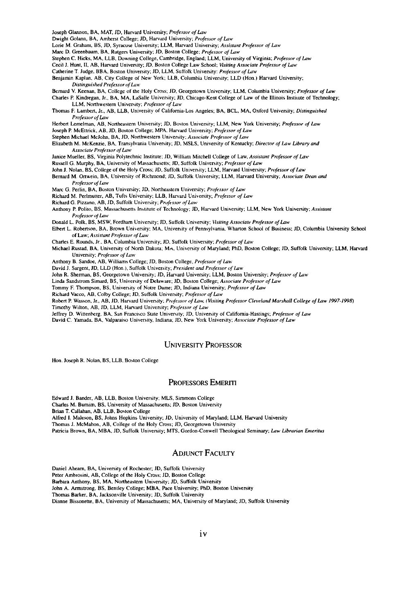Joseph Glannon, BA, MAT. **JD,** Harvard University; Professor of Law

Dwight Golann, BA, Amherst College; **JD,** Harvard University; Professor of Law

Lorie M. Graham, BS, JD, Syracuse University: LLM, Harvard University: Assistant Professor of Law

Marc D. Greenbaum, BA, Rutgers University; JD, Boston College: Professor of Law

Stephen C. Hicks, MA, LLB, Downing College, Cambridge, England; LLM, University of Virginia; Professor of *Law*

Cecil **J.** Hunt, **II,** AB, Harvard University; **JD,** Boston College Law School; *Visiting* Associate Professor *of Law*

Catherine T. Judge. BBA, Boston University; **JD,** LLM, Suffolk University: Professor *of* Law

Benjamin Kaplan, AB, City College of New York; LLB, Columbia University; LLD (Hon.) Harvard University; Distinguished Professor of *Law*

Bernard V. Keenan, BA, College of the Holy Cross; JD, Georgetown University; LLM, Columbia University; Professor of Law Charles P Kindregan, Jr., BA, MA, LaSalle University; **JD,** Chicago-Kent College of Law of the Illinois Institute of Technology;

LLM, Northwestern University; Professor of Law Thomas F. Lambert, Jr., AB, LLB, University of California-Los Angeles; BA, BCL, MA, Oxford University; Distinguished Professorof Law

Herbert Lemelman, **AB,** Northeastern University; **JD,** Boston University; LLM, New York University; Professor of Liw

Joseph P. McEttrick, **AB, JD,** Boston College; MPA. Harvard University: Professor of Law

Stephen Michael McJohn, BA, **JD,** Northwestern University; Associate Professor of Law

Elizabeth M. McKenzie, BA, Transylvania University; **JD,** MSLS, University of Kentucky; Director of *Law* Library and Associate Professor of Law

Janice Mueller, BS, Virginia Polytechnic Institute. JD, William Mitchell College of Law, Assistant Professor of *Law*

Russell **G\_** Murphy. **BA,** University of Massachusetts; **JD,** Suffolk University; Professor of Law

- John **J.** Nolan. BS. College of the Holy Cross; **JD,** Suffolk University; LLM, Harvard University; Professor *offLaw* Bernard M. Ortwein, BA, University of Richmond, JD. Suffolk University; LLM, Harvard University; Associate Dean *and*
- Professor *of Law*
- Marc G. Perlin, BA, Boston University, **JD,** Northeastern University; Professor of Law

Richard M. Perlmutter, AB, Tufts University; LLB, Harvard University; Professor of Law

Richard G. Pizzano, AB, **JD,** Suffolk University; Professor of *Law*

Anthony P Polito, BS, Massachusetts Institute of Technology; JD, Harvard University; LLM, New York University; Assistant Professor **of Law**

Donald L. Polk, BS, MSW, Fordham University; **JD,** Suffolk University; Visiting Associate Professor *of Law*

Elbert L. Robertson, BA, Brown University; MA. University of Pennsylvania, Wharton School of Business; **JD,** Columbia University School of Law; Assistant Professor *ofLaiw*

Charles E. Rounds, Jr., BA, Columbia University; **JD.** Suffolk University; Professor of *Lair*

Michael Rustad, **BA.** University of North Dakota. MA. University of Maryland; PhD. Boston College; **JD,** Suffolk University; LLM, Harvard University; Professor of Law

Anthony B. Sandoe, AB, Williams College; **JD,** Boston College, Professor of *Law*

David **J.** Sargent, **JD,** LLD (Hon.), Suffolk University; President and Professor of *Law*

John R. Sherman, BS, Georgetown University; **JD,** Harvard University; LLM, Boston University; Professor *of* Laiw

Linda Sandstrom Simard, BS, University of Delaware; **JD,** Boston College *Associate* Professor of *Law*

Tommy F. Thompson, BS, University of Notre Dame; **JD,** Indiana University; Professor of Law

Richard Vacco, AB, Colby College. JD. Suffolk University; Professor of *Law*

Robert P. Wasson, Jr., **AB, JD,** Harvard University; Professor *of Las;* (Visiting Professor Cleveland Marshall College of *Law 1997-1998)*

Timothy Wilton, AB. **ID,** LLM, Harvard University; Professor of Law

Jeffrey **D.** Wittenberg. BA. San Francisco State University; **JD.** University of California-Hastings; Professor of Law

David C. Yamada. BA, Valparaiso University, Indiana; **JD,** New York University; Associate Professor of Law

#### **UNIVERSITY** PROFESSOR

Hon. Joseph R. Nolan, BS, LLB, Boston College

#### PROFESSORS EMERIT

Edward J. Bander, AB, LLB, Boston University; MLS, Simmons College

Charles M. Burnim, BS, University of Massachusetts; **JD,** Boston University

Brian T. Callahan, AB, LLB, Boston College

Alfred **1.** Maleson, BS, Johns Hopkins University; **JD,** University of Maryland; LLM, Harvard University

Thomas J. McMahon, AB, College of the Holy Cross; **JD,** Georgetown University

Patricia Brown, BA, MBA, **JD,** Suffolk University; MTS, Gordon-Conwell Theological Seminary; Law Librarian Emeritus

#### **ADJUNCT** FACULTY

Daniel Ahearn, BA, University of Rochester; **JD,** Suffolk University

Peter Ambrosin, AB, College of the Holy Cross; **JD,** Boston College

Barbara Anthony, BS. MA, Northeastern University; **JD,** Suffolk University

John **A.** Armstrong, BS, Bentley College; MBA, Pace University; PhD, Boston University

Thomas Barker, BA, Jacksonville University; **JD.** Suffolk University

Dianne Bissonette, BA, University of Massachusetts; MA, University of Maryland; **JD,** Suffolk University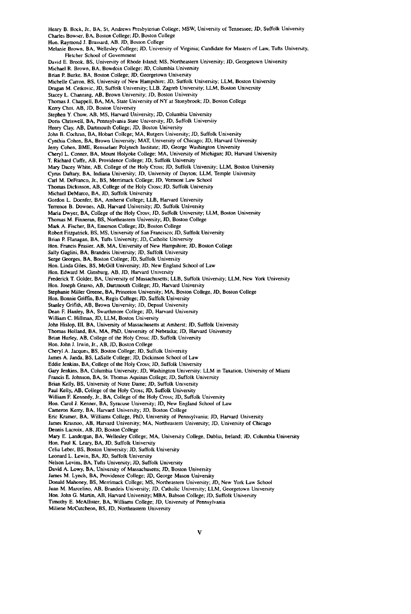Henry B. Bock, Jr., BA. **St.** Andrews Presbyterian College; MSW, University of Tennessee; **JD,** Suffolk University Charles Bowser, BA. Boston College; **JD,** Boston College Hon. Raymond **J.** Brassard, AB. **JD,** Boston College Melanie Brown, BA, Wellesley College; **JD,** University of Virginia; Candidate for Masters of Law, Tufts University, Fletcher School of Government David **E.** Brook. BS, University of Rhode Island; **MS,** Northeastern University; **JD,** Georgetown University Michael R. Brown, BA. Bowdoin College. **JD,** Columbia University Brian P. Burke. BA, Boston College; *JD,* Georgetown University Michelle Carron, BS, University of New Hampshire. **JD,** Suffolk University; LLM, Boston University Dragan M. Cetkovic, **JD,** Suffolk University; LLB, Zagreb University; LLM, Boston University Stacey L. Charming, AB, Brown University; **JD,** Boston University Thomas **J.** Chappell, BA, MA, State University of NY at Stonybrook; **JD,** Boston College Kerry Choi, AB, **JD.** Boston University Stephen Y. Chow. *AB.* **MS,** Harvard University; **JD,** Columbia University Doris Chriswell. BA, Pennsylvania State University; **JD,** Suffolk University Henry Clay, AB, Dartmouth College; **JD,** Boston University John B. Cochran, BA, Hobart College; MA, Rutgers University; **JD.** Suffolk University Cynthia Cohen, BA, Brown University; MAT, University of Chicago; **JD,** Harvard University Jerry Cohen, BME, Rensselaer Polytech Institute; **JD,** George Washington University Cheryl L. Conner, BA, Mount Holyoke College; MA, University of Michigan; **JD,** Harvard University T. Richard Cuffe, AB, Providence College; **JD,** Suffolk University Mary Dacey White, AB, College of the Holy Cross; **JD,** Suffolk University; LLM, Boston University Cyrus Daftary, BA, Indiana University; **JD,** University of Dayton; LLM, Temple University Carl M- DeFranco. Jr., **BS,** Merrimack College; **JD,** Vermont Law School Thomas Dickinson, AB, College of the Holy Cross; **JD,** Suffolk University Michael DeMarco, BA. **JD,** Suffolk University Gordon L. Doenfer, BA, Amherst College; LLB, Harvard University Terrence B. Downes, AB, Harvard University; **JD,** Suffolk University Maria Dwyer, BA, College of the Holy Cross; **JD,** Suffolk University; LLM, Boston University Thomas M. Finneran, BS, Northeastern University. **JD,** Boston College Mark **A.** Fischer, BA, Emerson College; **JD.** Boston College Robert Fitzpatrick, BS, **MS,** University of San Francisco; **JD,** Suffolk University Brian P. Flanagan, BA, Tufts University; **JD,** Catholic University Hon. Francis Frasier, AB, MA, University of New Hampshire; **JD,** Boston College Sally Gaglini, BA, Brandeis University; **JD.** Suffolk University Serge Georges, BA, Boston College; **JD,** Suffolk University Hon. Linda Giles, BS, McGill University; **JD,** New England School of Law Hon. Edward M. Ginsburg, AB, **JD,** Harvard University Frederick T. Golder, BA. University of Massachusetts; LLB, Suffolk University; LLM, New York University Hon. Joseph Grasso, AB, Dartmouth College; **JD,** Harvard University Stephanie Miller Greene, BA, Princeton University; MA, Boston College, **JD,** Boston College Hon. Bonnie Griffin, BA, Regis College; **JD,** Suffolk University Stanley Grifith. AB, Brown University; **JD,** Depaul University Dean P. Hanley, BA, Swarthmore College; **JD,** Harvard University William C. Hillman, **JD,** LLM, Boston University John Hislop, **111,** BA, University of Massachusetts at Amherst; **JD,** Suffolk University Thomas Holland, BA, MA, PhD, University of Nebraska; **JD,** Harvard University Brian Hurley, AB, College of the Holy Cross; **JD,** Suffolk University Hon. John **J.** Irwin, Jr., AB, *JD,* Boston College Cheryl **A.** Jacques, BS, Boston College; **JD,** Suffolk University James A. Janda. BS, LaSalle College; **JD,** Dickinson School of Law Eddie Jenkins, BA, College of the Holy Cross; **JD,** Suffolk University Gary Jenkins, BA, Columbia University; **JD,** Washington University: LLM in Taxation. University of Miami Francis **E.** Johnson, BA, **St.** Thomas Aquinas College; **JD,** Suffolk University Brian Kelly, BS, University of Notre Dame; **JD,** Suffolk University Paul Kelly, AB, College of the Holy Cross. **JD,** Suffolk University William P. Kennedy, Jr., BA, College of the Holy Cross; **JD,** Suffolk University Hon. Carol **J.** Kenner, BA, Syracuse University; **JD,** New England School of Law Cameron Kerry, BA, Harvard University; *JD,* Boston College Eric Kramer, BA, Williams College, PhD, University of Pennsylvania; **JD,** Harvard University James Krasnoo, AB, Harvard University; MA, Northeastern University; **JD,** University of Chicago Dennis Lacroix, AB, **JD,** Boston College Mary **E.** Landergan, BA, Wellesley College; MA, University College, Dublin, Ireland; **ID,** Columbia University Hon. Paul K. Leary, BA, **JD,** Suffolk University Celia Leber, BS, Boston University; **JD,** Suffolk University Leonard L. Lewin, BA, **JD,** Suffolk University Nelson Lovins, BA, Tufts University; **JD,** Suffolk University David A. Lowy, BA, University of Massachusetts; **JD,** Boston University James M. Lynch, BA, Providence College; **JD,** George Mason University Donald Mahoney, BS, Merrimack College; **MS,** Northeastern University; **JD,** New York Law School Juan M. Marcelino, AB, Brandeis University; **JD,** Catholic University; LLM, Georgetown University Hon. John G. Martin, AB, Harvard University; MBA, Babson College; **JD,** Suffolk University Timothy E. McAllister, BA, Williams College; **JD,** University of Pennsylvania

Miliene McCutcheon, **BS, JD,** Northeastern University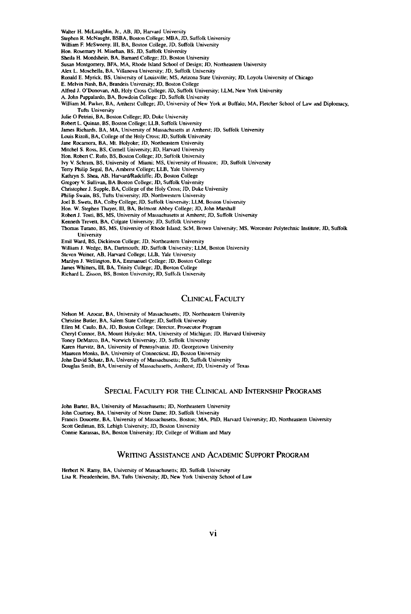Walter H. McLaughlin, Jr., AB, **JD,** Harvard University Stephen R. McNaught, BSBA, Boston College; MBA, **JD,** Suffolk University William F. McSweeny. Ill. BA, Boston College. **JD,** Suffolk University Hon. Rosemary H. Minehan, BS, **JD,** Suffolk University Sheila H. Mondshein. BA, Barnard College; **JD,** Boston University Susan Montgomery. BFA, MA, Rhode Island School of Design; JD, Northeastern University Alex L. Moschella, BA, Villanova University; **JD,** Suffolk University Ronald E. Myrick, **BS,** University of Louisville; **MS,** Arizona State University; **JD,** Loyola University of Chicago **E.** Melvin Nash, BA, Brandeis University; *JD,* Boston College Alfred **J.** O'Donovan, **AB,** Holy Cross College. **JD,** Suffolk University; LLM, New York University **A.** John Pappalardo, BA, Bowdoin College: *JD,* Suffolk University William M. Parker, BA, Amherst College; **JD,** University of New York at Buffalo; MA, Fletcher School of Law and Diplomacy, Tufts University Julie **0** Petrini, BA, Boston College; **JD,** Duke University Robert L. Quinan. BS, Boston College; LLB, Suffolk University James Richards, BA, MA, University of Massachusetts at Amherst; **JD,** Suffolk University Louis Rizoli, BA, College of the Holy Cross; **JD,** Suffolk University Jane Rocamora, BA, Mt. Holyoke; **JD,** Northeastern University Mitchel S. Ross, BS, Correll University; **JD,** Harvard University Hon. Robert C. Rufo, BS, Boston College; **ID,** Suffolk University Ivy V. Schram. BS, University of Miami, **MS,** University of Houston; **JD,** Suffolk University Terry Philip Segal, BA, Amherst College; LLB. Yale University Kathryn S. Shea, **AB,** Harvard/Radcliffe; **JD,** Boston College

Gregory V. Sullivan, BA Boston College; JD, Suffolk University

Christopher **J.** Supple, BA, College of the Holy Cross; **JD,** Duke University

Philip Swain, BS, Tufts University; **JD.** Northwestern University

Joel B. Swets, BA, Colby College; **JD,** Suffolk University; LLM, Boston University

Hon. W. Stephen Thayer, **I11,** BA, Belmont Abbey College; **JD,** John Marshall

Robert **J.** Tosti, BS, **MS,** University of Massachusetts at Amherst; **JD,** Suffolk University

Kenneth Trevett, BA, Colgate University; **JD,** Suffolk University

Thomas Turano, BS. **MS,** University of Rhode Island; ScM, Brown University; **MS,** Worcester Polytechnic Institute; **JD,** Suffolk University

Emil Ward, BS, Dickinson College; *JD,* Northeastern University

William J. Wedge, BA. Dartmouth; **JD.** Suffolk University; LLM, Boston University

Steven Weiner, **AB.** Harvard College; LLB, Yale University

Marilyn **J.** Wellington, BA, Emmanuel College; *JD,* Boston College

James Whitters, **I11,** BA, Trinity College; **ID,** Boston College

Richard L. Zisson, BS, Boston University; **JD,** Suffolk University

#### CLINICAL FACULTY

Nelson M. Arocar. **BA,** University of Massachusetts; **JD,** Northeastern University

Christine Butler, BA, Salem State College; **JD,** Suffolk University

Ellen M. Caulo, BA, **JD.** Boston College; Director, Prosecutor Program

Cheryl Connor, BA, Mount Holyoke: **MA.** University of Michigan; **JD,** Harvard University

Toney DeMarco. BA, Norwich University; **JD.** Suffolk University

Karen Hurvitz, BA, University of Pennsylvania: **JD.** Georgetown University

Maureen Monks, **BA,** University of Connecticut; **ID,** Boston University

John David Schatz, BA, University of Massachusetts; **JD,** Suffolk University

Douglas Smith, BA, University of Massachusetts, Amherst; **JD,** University of Texas

#### SPECIAL FACULTY FOR THE CLINICAL AND INTERNSHIP PROGRAMS

John Barter, BA, University of Massachusetts; **JD,** Northeastern University John Courtney, **BA,** University of Notre Dame; **JD,** Suffolk University Francis Doucette, BA, University of Massachusetts. Boston; MA, PhD, Harvard University; **JD,** Northeastern University Scott Gediman, BS, Lehigh University; **JD,** Boston University Connie Karassas, BA, Boston University; JD; College of William and Mary

#### WRITING ASSISTANCE AND ACADEMIC SUPPORT PROGRAM

Herbert N. **Ramy, BA,** University of Massachusetts; *JD.* Suffolk University Lisa R. Freudenheim, BA, Tufts University; **JD,** New York University School of Law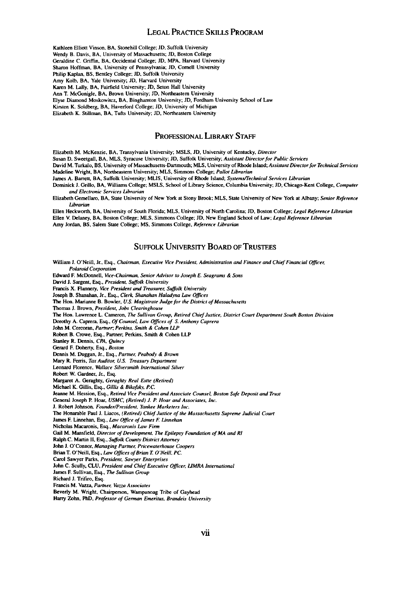#### **LEGAL** PRACTICE **SKILLS** PROGRAM

**Kathleen** Elliott Vinson. **BA,** Stonehill College; **JD.** Suffolk University Wendy **B.** Davis, BA, University of Massachusetts; **JD,** Boston College Geraldine **C.** Griffin. BA. Occidental College; **JD, MPA, Harvard** University Sharon Hoffman, BA, University of Pennsylvania; **JD, Cornell** University Philip Kaplan, BS, Bentley College; **JD,** Suffolk University Amy **Kolb,** BA, Yale University; **JD.** Harvard University Karen M. **Lally,** BA, Fairfield University; **JD,** Seton Hall University Ann T. McGonigle. BA, Brown University; **ID,** Northeastern University Elyse Diamond Moskowitcz, **BA,** Binghamton University; **ID,** Fordham University School of Law Kirsten K. Soldberg, BA. Haverford College; **JD,** University of Michigan Elizabeth K. Stillman, **BA,** Tufts University; **JD,** Northeastern University

PROFESSIONAL LIBRARY STAFF

Elizabeth M. McKenzie, BA, Transylvania University; MSLS, **JD,** University of Kentucky, Director

Susan D. Sweetgall. **BA.** MLS, Syracuse University; **JD,** Suffolk University; Assistant Directorfor Public Services

David M. Turkalo, BS. University of Massachusetts-Dartmouth; **MLS,** University of Rhode Island; Assistant Directorfor Technical Services Madeline **Wright, BA,** Northeastern University; **MLS,** Simmons College; Pallor Librarian

James **A.** Barrett, BA, Suffolk University; **MLIS,** University of Rhode Island; SystemsTechnical Services Librarian

Dominick **J.** Grillo, BA, Williams College; **MSLS.** School of Library Science, Columbia University; **JD,** Chicago-Kent College, Computer and Electronic Services Librarian

Elizabeth Gemellaro. **BA,** State University of New York at Stony Brook; **MLS,** State University of New York at Albany; Senior Reference Librarian

Ellen Heckworth, BA, University of South Florida; **MLS,** University of North Carolina; **JD,** Boston College; Legal Reference Librarian Ellen V. Delaney, BA, Boston College; **MLS.** Simmons College; **JD.** New England School of Law; Legal Reference Librarian Amy Jordan, BS, Salem State College; **MS,** Simmons College, Reference Librarian

#### **SUFFOLK** UNIVERSITY BOARD OF **TRUSTEES**

William **J.** O'Neill, Jr.. Esq., Chairman, Executive Vice President, Administration and Finance and Chief Financial **Officer,** *Polaroid* Corporation Edward F. McDonnell, Vice-Chairman, Senior Advisor to Joseph **E.** Seagrams **& Sons** David **J.** Sargent, Esq., President, Suffolk University Francis **X.** Flannery, Vice President and Treasurer, Suffolk University Joseph B. Shanahan, Jr., Esq., Clerk Shanahan Haladyna Law Offices The Hon. Marianne B. Bowler. **U.S.** Magistrate Judge for the District of Massachusetts Thomas **J.** Brown, President, Jobs Clearinghouse The Hon. Lawrence L. Cameron, *The* Sullivan Group, Retired Chief Justice, District Court Department South Boston Division Dorothy **A.** Caprera, Esq., Of Counsel, Law Offices of **S.** Anthony Caprera John **M.** Corcoran, Partner; Perkins, Smith **&** Cohen **UP** Robert B. Crowe, Esq., **Partner;** Perkins. **Smith & Cohen** LLP Stanley R. Dennis, **CPA,** Quincy Gerard F. Doherty, Esq., Boston Dennis M. Duggan, Jr., Esq., Partner, Peabody **&** Brown Mary R. Ferris, Tax Auditor, **U.S.** Treasury Department Leonard Florence, Wallace Silversmith International Silver Robert W. Gardner, Jr., Esq. Margaret A. Geraghty, Geraghty Real Estte (Retired) Michael K. Gillis, Esq., Gillis & Bikofsk. *P.C.* Jeanne M. Hession, Esq., Retired Vice President and Associate Counsel. Boston Safe Deposit and Trust General Joseph P. Hoar, **USMC,** (Retired) **J.** P *Hour* and Associates, Inc. **J.** Robert Johnson, Founder/President, *Yankee* Marketers Inc. The Honarable Paul **J.** Liacos, (Retired) Chief Justice of the Massachusetts Supreme Judicial Court James F. Linnehan, Esq., Law Office of *James* **F** *Linnehan* Nicholas Macaronis, Esq., Macaronis Law Firm Gail M. Mansfield, Director of Development, The Epilepsy Foundation of MA and RI Ralph C. Martin **I,** Esq., Suffolk County District Attorney John J. O'Connor, Managing Partner, Pricewaterhouse Coopers Brian T. O'Neill, Esq., Law Offices of Brian T. O'Neill, PC. **Carol** Sawyer Parks, President, Sawyer Enterprises John C. Scully, **CLU,** President and Chief Executive *Officer, LUMRA* International James F. Sullivan, Esq., The Sullivan Group Richard **J.** Trifiro, Esq. Francis M. Vazza, Partner, Vazza Associates Beverly M. Wright. Chairperson, Wampanoag Tribe of Gayhead

**Harry** Zohn, PhD, Professor of German Emeritus, Brandeis University